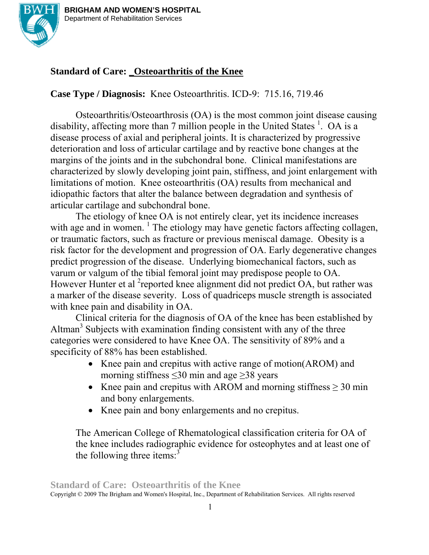



## **Standard of Care: \_Osteoarthritis of the Knee**

**Case Type / Diagnosis:** Knee Osteoarthritis. ICD-9: 715.16, 719.46

Osteoarthritis/Osteoarthrosis (OA) is the most common joint disease causing disability, affecting more than 7 million people in the United States  $<sup>1</sup>$ . OA is a</sup> disease process of axial and peripheral joints. It is characterized by progressive deterioration and loss of articular cartilage and by reactive bone changes at the margins of the joints and in the subchondral bone. Clinical manifestations are characterized by slowly developing joint pain, stiffness, and joint enlargement with limitations of motion. Knee osteoarthritis (OA) results from mechanical and idiopathic factors that alter the balance between degradation and synthesis of articular cartilage and subchondral bone.

The etiology of knee OA is not entirely clear, yet its incidence increases with age and in women.  $\frac{1}{1}$  The etiology may have genetic factors affecting collagen, or traumatic factors, such as fracture or previous meniscal damage. Obesity is a risk factor for the development and progression of OA. Early degenerative changes predict progression of the disease. Underlying biomechanical factors, such as varum or valgum of the tibial femoral joint may predispose people to OA. However Hunter et al  ${}^{2}$ reported knee alignment did not predict OA, but rather was a marker of the disease severity. Loss of quadriceps muscle strength is associated with knee pain and disability in OA.

Clinical criteria for the diagnosis of OA of the knee has been established by Altman<sup>3</sup> Subjects with examination finding consistent with any of the three categories were considered to have Knee OA. The sensitivity of 89% and a specificity of 88% has been established.

- Knee pain and crepitus with active range of motion(AROM) and morning stiffness  $\leq 30$  min and age  $\geq 38$  years
- Knee pain and crepitus with AROM and morning stiffness  $> 30$  min and bony enlargements.
- Knee pain and bony enlargements and no crepitus.

The American College of Rhematological classification criteria for OA of the knee includes radiographic evidence for osteophytes and at least one of the following three items: $3$ 

Copyright © 2009 The Brigham and Women's Hospital, Inc., Department of Rehabilitation Services. All rights reserved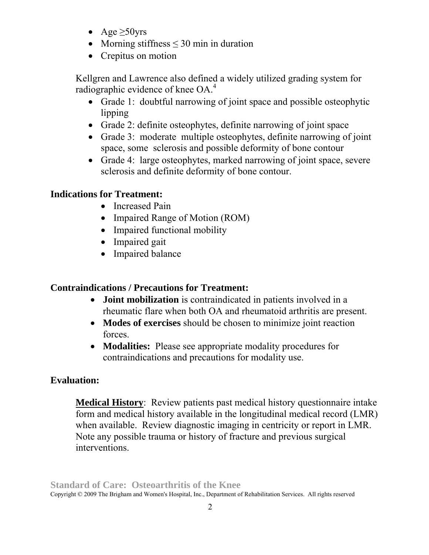- Age  $\geq$ 50yrs
- Morning stiffness  $\leq$  30 min in duration
- Crepitus on motion

Kellgren and Lawrence also defined a widely utilized grading system for radiographic evidence of knee OA.<sup>4</sup>

- Grade 1: doubtful narrowing of joint space and possible osteophytic lipping
- Grade 2: definite osteophytes, definite narrowing of joint space
- Grade 3: moderate multiple osteophytes, definite narrowing of joint space, some sclerosis and possible deformity of bone contour
- Grade 4: large osteophytes, marked narrowing of joint space, severe sclerosis and definite deformity of bone contour.

# **Indications for Treatment:**

- Increased Pain
- Impaired Range of Motion (ROM)
- Impaired functional mobility
- Impaired gait
- Impaired balance

## **Contraindications / Precautions for Treatment:**

- **Joint mobilization** is contraindicated in patients involved in a rheumatic flare when both OA and rheumatoid arthritis are present.
- **Modes of exercises** should be chosen to minimize joint reaction forces.
- **Modalities:** Please see appropriate modality procedures for contraindications and precautions for modality use.

# **Evaluation:**

**Medical History**: Review patients past medical history questionnaire intake form and medical history available in the longitudinal medical record (LMR) when available. Review diagnostic imaging in centricity or report in LMR. Note any possible trauma or history of fracture and previous surgical interventions.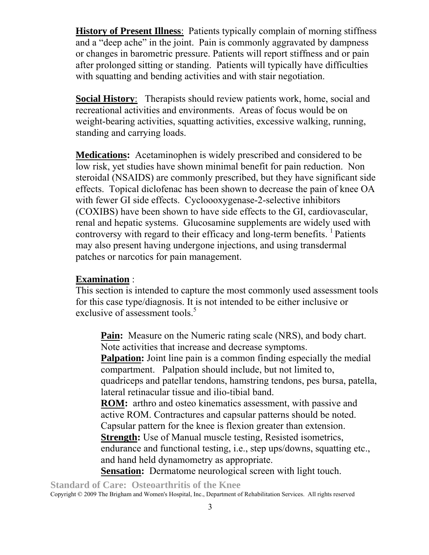**History of Present Illness**: Patients typically complain of morning stiffness and a "deep ache" in the joint. Pain is commonly aggravated by dampness or changes in barometric pressure. Patients will report stiffness and or pain after prolonged sitting or standing. Patients will typically have difficulties with squatting and bending activities and with stair negotiation.

**Social History**: Therapists should review patients work, home, social and recreational activities and environments. Areas of focus would be on weight-bearing activities, squatting activities, excessive walking, running, standing and carrying loads.

**Medications:** Acetaminophen is widely prescribed and considered to be low risk, yet studies have shown minimal benefit for pain reduction. Non steroidal (NSAIDS) are commonly prescribed, but they have significant side effects. Topical diclofenac has been shown to decrease the pain of knee OA with fewer GI side effects. Cycloooxygenase-2-selective inhibitors (COXIBS) have been shown to have side effects to the GI, cardiovascular, renal and hepatic systems. Glucosamine supplements are widely used with controversy with regard to their efficacy and long-term benefits.  $\frac{1}{1}$  Patients may also present having undergone injections, and using transdermal patches or narcotics for pain management.

#### **Examination** :

This section is intended to capture the most commonly used assessment tools for this case type/diagnosis. It is not intended to be either inclusive or exclusive of assessment tools.<sup>5</sup>

**Pain:** Measure on the Numeric rating scale (NRS), and body chart. Note activities that increase and decrease symptoms. **Palpation:** Joint line pain is a common finding especially the medial compartment. Palpation should include, but not limited to, quadriceps and patellar tendons, hamstring tendons, pes bursa, patella, lateral retinacular tissue and ilio-tibial band. **ROM:** arthro and osteo kinematics assessment, with passive and active ROM. Contractures and capsular patterns should be noted. Capsular pattern for the knee is flexion greater than extension. **Strength:** Use of Manual muscle testing, Resisted isometrics, endurance and functional testing, i.e., step ups/downs, squatting etc., and hand held dynamometry as appropriate. **Sensation:** Dermatome neurological screen with light touch.

**Standard of Care: Osteoarthritis of the Knee**  Copyright © 2009 The Brigham and Women's Hospital, Inc., Department of Rehabilitation Services. All rights reserved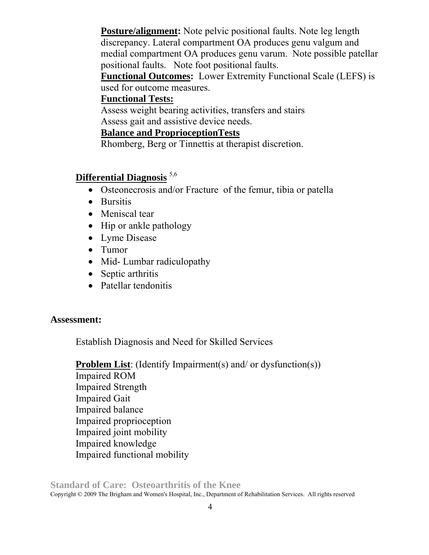**Posture/alignment:** Note pelvic positional faults. Note leg length discrepancy. Lateral compartment OA produces genu valgum and medial compartment OA produces genu varum. Note possible patellar positional faults. Note foot positional faults.

**Functional Outcomes:** Lower Extremity Functional Scale (LEFS) is used for outcome measures.

#### **Functional Tests:**

Assess weight bearing activities, transfers and stairs Assess gait and assistive device needs.

### **Balance and ProprioceptionTests**

Rhomberg, Berg or Tinnettis at therapist discretion.

# **Differential Diagnosis** 5,6

- Osteonecrosis and/or Fracture of the femur, tibia or patella
- Bursitis
- Meniscal tear
- Hip or ankle pathology
- Lyme Disease
- Tumor
- Mid- Lumbar radiculopathy
- Septic arthritis
- Patellar tendonitis

## **Assessment:**

Establish Diagnosis and Need for Skilled Services

**Problem List**: (Identify Impairment(s) and/ or dysfunction(s)) Impaired ROM Impaired Strength Impaired Gait Impaired balance Impaired proprioception Impaired joint mobility

Impaired knowledge

Impaired functional mobility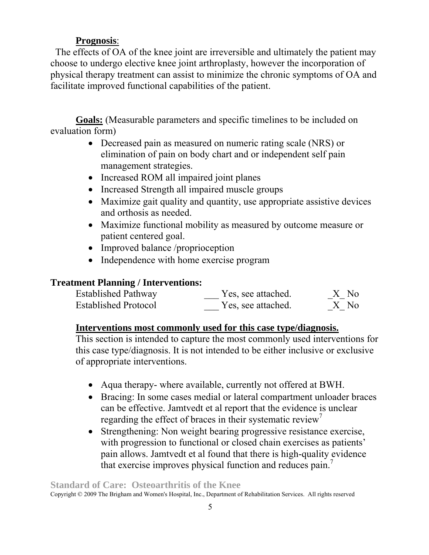### **Prognosis**:

 The effects of OA of the knee joint are irreversible and ultimately the patient may choose to undergo elective knee joint arthroplasty, however the incorporation of physical therapy treatment can assist to minimize the chronic symptoms of OA and facilitate improved functional capabilities of the patient.

**Goals:** (Measurable parameters and specific timelines to be included on evaluation form)

- Decreased pain as measured on numeric rating scale (NRS) or elimination of pain on body chart and or independent self pain management strategies.
- Increased ROM all impaired joint planes
- Increased Strength all impaired muscle groups
- Maximize gait quality and quantity, use appropriate assistive devices and orthosis as needed.
- Maximize functional mobility as measured by outcome measure or patient centered goal.
- Improved balance /proprioception
- Independence with home exercise program

## **Treatment Planning / Interventions:**

| <b>Established Pathway</b>  | Yes, see attached. | X No |
|-----------------------------|--------------------|------|
| <b>Established Protocol</b> | Yes, see attached. | X No |

#### **Interventions most commonly used for this case type/diagnosis.**

This section is intended to capture the most commonly used interventions for this case type/diagnosis. It is not intended to be either inclusive or exclusive of appropriate interventions.

- Aqua therapy- where available, currently not offered at BWH.
- Bracing: In some cases medial or lateral compartment unloader braces can be effective. Jamtvedt et al report that the evidence is unclear regarding the effect of braces in their systematic review<sup>7</sup>
- Strengthening: Non weight bearing progressive resistance exercise, with progression to functional or closed chain exercises as patients' pain allows. Jamtvedt et al found that there is high-quality evidence that exercise improves physical function and reduces pain.<sup>7</sup>

**Standard of Care: Osteoarthritis of the Knee** 

Copyright © 2009 The Brigham and Women's Hospital, Inc., Department of Rehabilitation Services. All rights reserved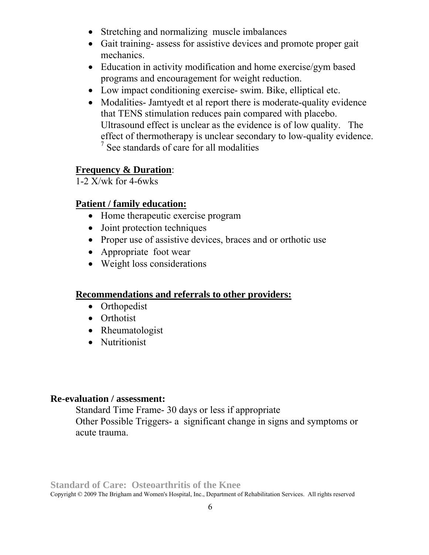- Stretching and normalizing muscle imbalances
- Gait training- assess for assistive devices and promote proper gait mechanics.
- Education in activity modification and home exercise/gym based programs and encouragement for weight reduction.
- Low impact conditioning exercise- swim. Bike, elliptical etc.
- Modalities- Jamtyedt et al report there is moderate-quality evidence that TENS stimulation reduces pain compared with placebo. Ultrasound effect is unclear as the evidence is of low quality. The effect of thermotherapy is unclear secondary to low-quality evidence. <sup>7</sup> See standards of care for all modalities

## **Frequency & Duration**:

1-2 X/wk for 4-6wks

## **Patient / family education:**

- Home therapeutic exercise program
- Joint protection techniques
- Proper use of assistive devices, braces and or orthotic use
- Appropriate foot wear
- Weight loss considerations

## **Recommendations and referrals to other providers:**

- Orthopedist
- Orthotist
- Rheumatologist
- Nutritionist

## **Re-evaluation / assessment:**

Standard Time Frame- 30 days or less if appropriate Other Possible Triggers- a significant change in signs and symptoms or acute trauma.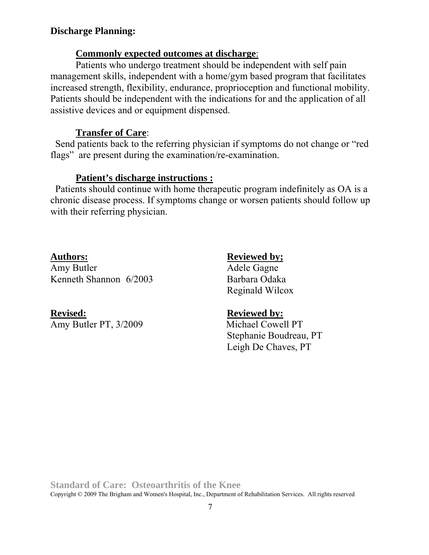#### **Discharge Planning:**

#### **Commonly expected outcomes at discharge**:

 Patients who undergo treatment should be independent with self pain management skills, independent with a home/gym based program that facilitates increased strength, flexibility, endurance, proprioception and functional mobility. Patients should be independent with the indications for and the application of all assistive devices and or equipment dispensed.

### **Transfer of Care**:

 Send patients back to the referring physician if symptoms do not change or "red flags" are present during the examination/re-examination.

#### **Patient's discharge instructions :**

 Patients should continue with home therapeutic program indefinitely as OA is a chronic disease process. If symptoms change or worsen patients should follow up with their referring physician.

Amy Butler Adele Gagne Kenneth Shannon 6/2003 Barbara Odaka

Amy Butler PT, 3/2009 Michael Cowell PT

Authors: **Reviewed by**;

Reginald Wilcox

## Revised: Reviewed by:

 Stephanie Boudreau, PT Leigh De Chaves, PT